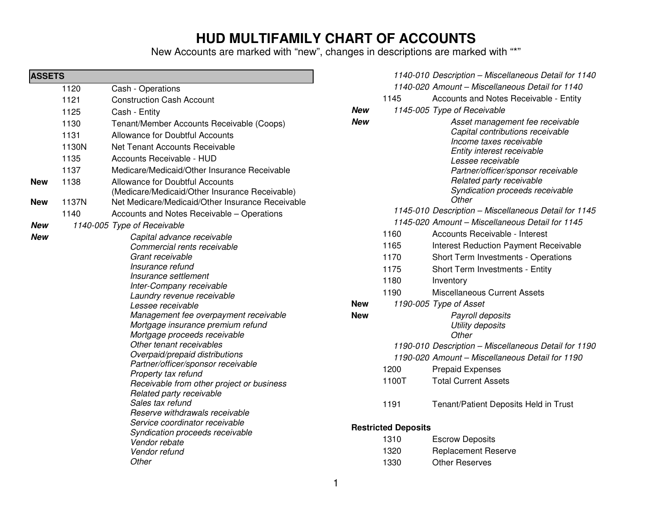New Accounts are marked with "new", changes in descriptions are marked with "\*"

| <b>ASSETS</b> |       |                                                                                          |                     | $\mathbf{1}$   |
|---------------|-------|------------------------------------------------------------------------------------------|---------------------|----------------|
|               | 1120  | Cash - Operations                                                                        |                     | $\mathcal{I}$  |
|               | 1121  | <b>Construction Cash Account</b>                                                         |                     | 1145           |
|               | 1125  | Cash - Entity                                                                            | <b>New</b>          | $\mathcal{I}$  |
|               | 1130  | Tenant/Member Accounts Receivable (Coops)                                                | <b>New</b>          |                |
|               | 1131  | Allowance for Doubtful Accounts                                                          |                     |                |
|               | 1130N | Net Tenant Accounts Receivable                                                           |                     |                |
|               | 1135  | Accounts Receivable - HUD                                                                |                     |                |
|               | 1137  | Medicare/Medicaid/Other Insurance Receivable                                             |                     |                |
| <b>New</b>    | 1138  | <b>Allowance for Doubtful Accounts</b><br>(Medicare/Medicaid/Other Insurance Receivable) |                     |                |
| <b>New</b>    | 1137N | Net Medicare/Medicaid/Other Insurance Receivable                                         |                     |                |
|               | 1140  | Accounts and Notes Receivable - Operations                                               |                     | $\mathbf{1}$   |
| <b>New</b>    |       | 1140-005 Type of Receivable                                                              |                     | $\mathcal{I}$  |
| <b>New</b>    |       | Capital advance receivable                                                               |                     | 1160           |
|               |       | Commercial rents receivable                                                              |                     | 1165           |
|               |       | Grant receivable                                                                         |                     | 1170           |
|               |       | Insurance refund                                                                         |                     | 1175           |
|               |       | Insurance settlement                                                                     |                     | 1180           |
|               |       | Inter-Company receivable<br>Laundry revenue receivable                                   |                     | 1190           |
|               |       | Lessee receivable                                                                        | <b>New</b>          | $\mathcal{I}$  |
|               |       | Management fee overpayment receivable<br>Mortgage insurance premium refund               | <b>New</b>          |                |
|               |       | Mortgage proceeds receivable                                                             |                     |                |
|               |       | Other tenant receivables<br>Overpaid/prepaid distributions                               |                     | $\mathfrak{1}$ |
|               |       | Partner/officer/sponsor receivable                                                       |                     | $\mathcal{I}$  |
|               |       | Property tax refund                                                                      |                     | 1200           |
|               |       | Receivable from other project or business<br>Related party receivable                    |                     | 1100           |
|               |       | Sales tax refund<br>Reserve withdrawals receivable                                       |                     | 1191           |
|               |       | Service coordinator receivable                                                           | <b>Restricted D</b> |                |
|               |       | Syndication proceeds receivable<br>Vendor rebate                                         |                     | 1310           |
|               |       | Vendor refund                                                                            |                     | 1320           |
|               |       | Other                                                                                    |                     | 1330           |
|               |       |                                                                                          |                     |                |

|            |                            | 1140-010 Description - Miscellaneous Detail for 1140                                                                                                                                                                                                            |
|------------|----------------------------|-----------------------------------------------------------------------------------------------------------------------------------------------------------------------------------------------------------------------------------------------------------------|
|            |                            | 1140-020 Amount - Miscellaneous Detail for 1140                                                                                                                                                                                                                 |
|            | 1145                       | Accounts and Notes Receivable - Entity                                                                                                                                                                                                                          |
| New        |                            | 1145-005 Type of Receivable                                                                                                                                                                                                                                     |
| <b>New</b> |                            | Asset management fee receivable<br>Capital contributions receivable<br>Income taxes receivable<br>Entity interest receivable<br>Lessee receivable<br>Partner/officer/sponsor receivable<br>Related party receivable<br>Syndication proceeds receivable<br>Other |
|            |                            | 1145-010 Description - Miscellaneous Detail for 1145                                                                                                                                                                                                            |
|            |                            | 1145-020 Amount - Miscellaneous Detail for 1145                                                                                                                                                                                                                 |
|            | 1160                       | Accounts Receivable - Interest                                                                                                                                                                                                                                  |
|            | 1165                       | <b>Interest Reduction Payment Receivable</b>                                                                                                                                                                                                                    |
|            | 1170                       | Short Term Investments - Operations                                                                                                                                                                                                                             |
|            | 1175                       | Short Term Investments - Entity                                                                                                                                                                                                                                 |
|            | 1180                       | Inventory                                                                                                                                                                                                                                                       |
|            | 1190                       | <b>Miscellaneous Current Assets</b>                                                                                                                                                                                                                             |
| New        |                            | 1190-005 Type of Asset                                                                                                                                                                                                                                          |
| <b>New</b> |                            | Payroll deposits<br>Utility deposits<br>Other                                                                                                                                                                                                                   |
|            |                            | 1190-010 Description - Miscellaneous Detail for 1190                                                                                                                                                                                                            |
|            |                            | 1190-020 Amount - Miscellaneous Detail for 1190                                                                                                                                                                                                                 |
|            | 1200                       | <b>Prepaid Expenses</b>                                                                                                                                                                                                                                         |
|            | 1100T                      | <b>Total Current Assets</b>                                                                                                                                                                                                                                     |
|            | 1191                       | Tenant/Patient Deposits Held in Trust                                                                                                                                                                                                                           |
|            | <b>Restricted Deposits</b> |                                                                                                                                                                                                                                                                 |

| 1310 | <b>Escrow Deposits</b>     |
|------|----------------------------|
| 1320 | <b>Replacement Reserve</b> |
| 1330 | <b>Other Reserves</b>      |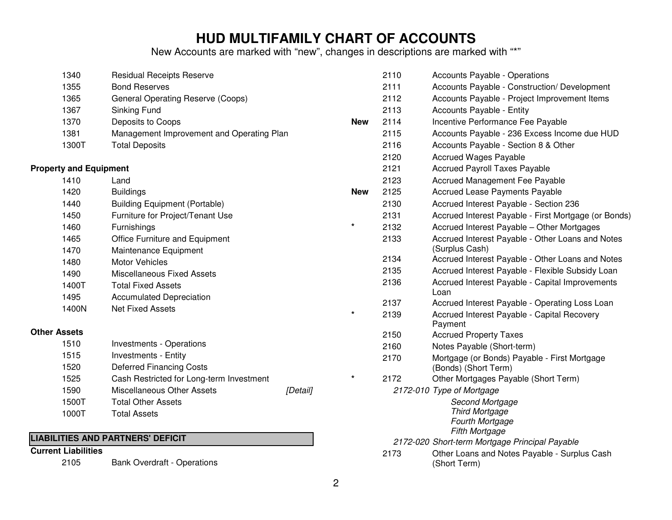New Accounts are marked with "new", changes in descriptions are marked with "\*"

| 1340                          | <b>Residual Receipts Reserve</b>                        |            | 2110 | <b>Accounts Payable - Operations</b>                                          |
|-------------------------------|---------------------------------------------------------|------------|------|-------------------------------------------------------------------------------|
| 1355                          | <b>Bond Reserves</b>                                    |            | 2111 | Accounts Payable - Construction/ Development                                  |
| 1365                          | General Operating Reserve (Coops)                       |            | 2112 | Accounts Payable - Project Improvement Items                                  |
| 1367                          | Sinking Fund                                            |            | 2113 | Accounts Payable - Entity                                                     |
| 1370                          | Deposits to Coops                                       | <b>New</b> | 2114 | Incentive Performance Fee Payable                                             |
| 1381                          | Management Improvement and Operating Plan               |            | 2115 | Accounts Payable - 236 Excess Income due HUD                                  |
| 1300T                         | <b>Total Deposits</b>                                   |            | 2116 | Accounts Payable - Section 8 & Other                                          |
|                               |                                                         |            | 2120 | <b>Accrued Wages Payable</b>                                                  |
| <b>Property and Equipment</b> |                                                         |            | 2121 | <b>Accrued Payroll Taxes Payable</b>                                          |
| 1410                          | Land                                                    |            | 2123 | Accrued Management Fee Payable                                                |
| 1420                          | <b>Buildings</b>                                        | <b>New</b> | 2125 | Accrued Lease Payments Payable                                                |
| 1440                          | <b>Building Equipment (Portable)</b>                    |            | 2130 | Accrued Interest Payable - Section 236                                        |
| 1450                          | Furniture for Project/Tenant Use                        |            | 2131 | Accrued Interest Payable - First Mortgage (or Bonds)                          |
| 1460                          | Furnishings                                             | $\star$    | 2132 | Accrued Interest Payable - Other Mortgages                                    |
| 1465<br>1470                  | Office Furniture and Equipment<br>Maintenance Equipment |            | 2133 | Accrued Interest Payable - Other Loans and Notes<br>(Surplus Cash)            |
| 1480                          | <b>Motor Vehicles</b>                                   |            | 2134 | Accrued Interest Payable - Other Loans and Notes                              |
| 1490                          | <b>Miscellaneous Fixed Assets</b>                       |            | 2135 | Accrued Interest Payable - Flexible Subsidy Loan                              |
| 1400T                         | <b>Total Fixed Assets</b>                               |            | 2136 | Accrued Interest Payable - Capital Improvements                               |
| 1495                          | <b>Accumulated Depreciation</b>                         |            |      | Loan                                                                          |
| 1400N                         | <b>Net Fixed Assets</b>                                 |            | 2137 | Accrued Interest Payable - Operating Loss Loan                                |
|                               |                                                         | $\star$    | 2139 | Accrued Interest Payable - Capital Recovery<br>Payment                        |
| <b>Other Assets</b>           |                                                         |            | 2150 | <b>Accrued Property Taxes</b>                                                 |
| 1510                          | Investments - Operations                                |            | 2160 | Notes Payable (Short-term)                                                    |
| 1515                          | <b>Investments - Entity</b>                             |            | 2170 | Mortgage (or Bonds) Payable - First Mortgage                                  |
| 1520                          | <b>Deferred Financing Costs</b>                         | $\star$    |      | (Bonds) (Short Term)                                                          |
| 1525                          | Cash Restricted for Long-term Investment                |            | 2172 | Other Mortgages Payable (Short Term)                                          |
| 1590                          | Miscellaneous Other Assets<br>[Detail]                  |            |      | 2172-010 Type of Mortgage                                                     |
| 1500T<br>1000T                | <b>Total Other Assets</b><br><b>Total Assets</b>        |            |      | Second Mortgage<br><b>Third Mortgage</b><br>Fourth Mortgage<br>Fifth Mortgage |
|                               | <b>LIABILITIES AND PARTNERS' DEFICIT</b>                |            |      | 2172-020 Short-term Mortgage Principal Payable                                |
| <b>Current Liabilities</b>    |                                                         |            | 2173 | Other Loans and Notes Payable - Surplus Cash                                  |

2105 Bank Overdraft - Operations

(Short Term)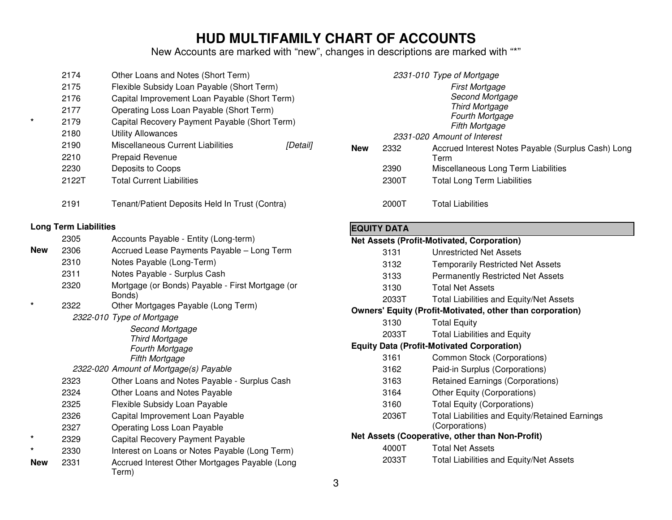New Accounts are marked with "new", changes in descriptions are marked with "\*"

|            | 2174                         | Other Loans and Notes (Short Term)                         |
|------------|------------------------------|------------------------------------------------------------|
|            | 2175                         | Flexible Subsidy Loan Payable (Short Term)                 |
|            | 2176                         | Capital Improvement Loan Payable (Short Term)              |
|            | 2177                         | Operating Loss Loan Payable (Short Term)                   |
| *          | 2179                         | Capital Recovery Payment Payable (Short Term)              |
|            | 2180                         | <b>Utility Allowances</b>                                  |
|            | 2190                         | <b>Miscellaneous Current Liabilities</b><br>[Detail]       |
|            | 2210                         | Prepaid Revenue                                            |
|            | 2230                         | Deposits to Coops                                          |
|            | 2122T                        | <b>Total Current Liabilities</b>                           |
|            | 2191                         | Tenant/Patient Deposits Held In Trust (Contra)             |
|            | <b>Long Term Liabilities</b> |                                                            |
|            | 2305                         | Accounts Payable - Entity (Long-term)                      |
| <b>New</b> | 2306                         | Accrued Lease Payments Payable - Long Term                 |
|            | 2310                         | Notes Payable (Long-Term)                                  |
|            | 2311                         | Notes Payable - Surplus Cash                               |
|            | 2320                         | Mortgage (or Bonds) Payable - First Mortgage (or<br>Bonds) |
| *          | 2322                         | Other Mortgages Payable (Long Term)                        |
|            |                              | 2322-010 Type of Mortgage                                  |
|            |                              | Second Mortgage                                            |
|            |                              | <b>Third Mortgage</b>                                      |
|            |                              | Fourth Mortgage<br>Fifth Mortgage                          |
|            |                              | 2322-020 Amount of Mortgage(s) Payable                     |
|            | 2323                         | Other Loans and Notes Payable - Surplus Cash               |
|            | 2324                         | Other Loans and Notes Payable                              |
|            | 2325                         | Flexible Subsidy Loan Payable                              |
|            | 2326                         | Capital Improvement Loan Payable                           |
|            | 2327                         | Operating Loss Loan Payable                                |
|            | 2329                         | Capital Recovery Payment Payable                           |
|            | 2330                         | Interest on Loans or Notes Payable (Long Term)             |
| New        | 2331                         | Accrued Interest Other Mortgages Payable (Long<br>Term)    |

|            |       | 2331-010 Type of Mortgage<br>First Mortgage<br>Second Mortgage<br><b>Third Mortgage</b><br>Fourth Mortgage<br>Fifth Mortgage<br>2331-020 Amount of Interest |
|------------|-------|-------------------------------------------------------------------------------------------------------------------------------------------------------------|
| <b>New</b> | 2332  | Accrued Interest Notes Payable (Surplus Cash) Long<br>Term                                                                                                  |
|            | 2390  | Miscellaneous Long Term Liabilities                                                                                                                         |
|            | 2300T | <b>Total Long Term Liabilities</b>                                                                                                                          |
|            | 2000T | <b>Total Liabilities</b>                                                                                                                                    |

### **EQUITY DATA**

#### **Net Assets (Profit-Motivated, Corporation)**

| 3131  | <b>Unrestricted Net Assets</b>                                   |
|-------|------------------------------------------------------------------|
| 3132  | <b>Temporarily Restricted Net Assets</b>                         |
| 3133  | <b>Permanently Restricted Net Assets</b>                         |
| 3130  | <b>Total Net Assets</b>                                          |
| 2033T | Total Liabilities and Equity/Net Assets                          |
|       | Owners' Equity (Profit-Motivated, other than corporation)        |
| 3130  | <b>Total Equity</b>                                              |
| 2033T | <b>Total Liabilities and Equity</b>                              |
|       | <b>Equity Data (Profit-Motivated Corporation)</b>                |
| 3161  | Common Stock (Corporations)                                      |
| 3162  | Paid-in Surplus (Corporations)                                   |
| 3163  | <b>Retained Earnings (Corporations)</b>                          |
| 3164  | Other Equity (Corporations)                                      |
| 3160  | <b>Total Equity (Corporations)</b>                               |
| 2036T | Total Liabilities and Equity/Retained Earnings<br>(Corporations) |
|       | Net Assets (Cooperative, other than Non-Profit)                  |
| 4000T | <b>Total Net Assets</b>                                          |
|       |                                                                  |
| 2033T | Total Liabilities and Equity/Net Assets                          |
|       |                                                                  |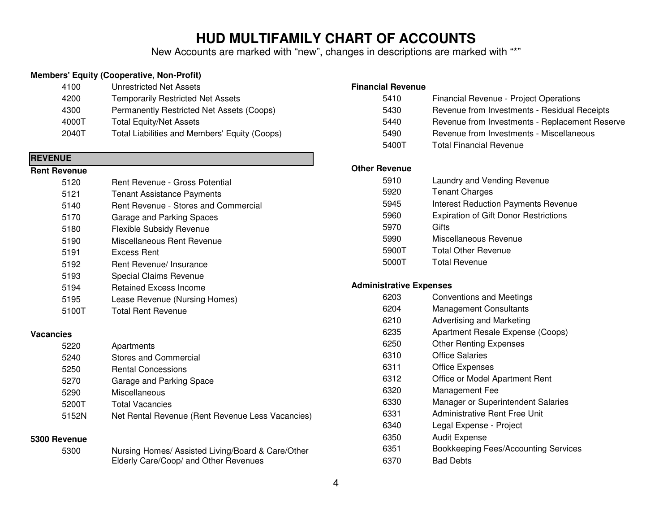New Accounts are marked with "new", changes in descriptions are marked with "\*"

### **Members' Equity (Cooperative, Non-Profit)**

| 4100  | <b>Unrestricted Net Assets</b>                |
|-------|-----------------------------------------------|
| 4200  | <b>Temporarily Restricted Net Assets</b>      |
| 4300  | Permanently Restricted Net Assets (Coops)     |
| 4000T | <b>Total Equity/Net Assets</b>                |
| 2040T | Total Liabilities and Members' Equity (Coops) |

#### **REVENUE**

| <b>Rent Revenue</b> |                                                                                            |
|---------------------|--------------------------------------------------------------------------------------------|
| 5120                | Rent Revenue - Gross Potential                                                             |
| 5121                | <b>Tenant Assistance Payments</b>                                                          |
| 5140                | Rent Revenue - Stores and Commercial                                                       |
| 5170                | Garage and Parking Spaces                                                                  |
| 5180                | Flexible Subsidy Revenue                                                                   |
| 5190                | Miscellaneous Rent Revenue                                                                 |
| 5191                | <b>Excess Rent</b>                                                                         |
| 5192                | Rent Revenue/ Insurance                                                                    |
| 5193                | Special Claims Revenue                                                                     |
| 5194                | <b>Retained Excess Income</b>                                                              |
| 5195                | Lease Revenue (Nursing Homes)                                                              |
| 5100T               | <b>Total Rent Revenue</b>                                                                  |
| Vacancies           |                                                                                            |
| 5220                | Apartments                                                                                 |
| 5240                | <b>Stores and Commercial</b>                                                               |
| 5250                | <b>Rental Concessions</b>                                                                  |
| 5270                | Garage and Parking Space                                                                   |
| 5290                | Miscellaneous                                                                              |
| 5200T               | <b>Total Vacancies</b>                                                                     |
| 5152N               | Net Rental Revenue (Rent Revenue Less Vacancies)                                           |
| 5300 Revenue        |                                                                                            |
| 5300                | Nursing Homes/ Assisted Living/Board & Care/Other<br>Elderly Care/Coop/ and Other Revenues |

### **Financial Revenue**

| 5410  | Financial Revenue - Project Operations         |
|-------|------------------------------------------------|
| 5430  | Revenue from Investments - Residual Receipts   |
| 5440  | Revenue from Investments - Replacement Reserve |
| 5490  | Revenue from Investments - Miscellaneous       |
| 5400T | <b>Total Financial Revenue</b>                 |
|       |                                                |

### **Other Revenue**

| 5910  | Laundry and Vending Revenue                  |
|-------|----------------------------------------------|
| 5920  | <b>Tenant Charges</b>                        |
| 5945  | <b>Interest Reduction Payments Revenue</b>   |
| 5960  | <b>Expiration of Gift Donor Restrictions</b> |
| 5970  | Gifts                                        |
| 5990  | Miscellaneous Revenue                        |
| 5900T | <b>Total Other Revenue</b>                   |
| 50001 | <b>Total Revenue</b>                         |

### **Administrative Expenses**

| 6203 | <b>Conventions and Meetings</b>      |
|------|--------------------------------------|
| 6204 | <b>Management Consultants</b>        |
| 6210 | Advertising and Marketing            |
| 6235 | Apartment Resale Expense (Coops)     |
| 6250 | <b>Other Renting Expenses</b>        |
| 6310 | <b>Office Salaries</b>               |
| 6311 | <b>Office Expenses</b>               |
| 6312 | Office or Model Apartment Rent       |
| 6320 | Management Fee                       |
| 6330 | Manager or Superintendent Salaries   |
| 6331 | Administrative Rent Free Unit        |
| 6340 | Legal Expense - Project              |
| 6350 | <b>Audit Expense</b>                 |
| 6351 | Bookkeeping Fees/Accounting Services |
| 6370 | <b>Bad Debts</b>                     |
|      |                                      |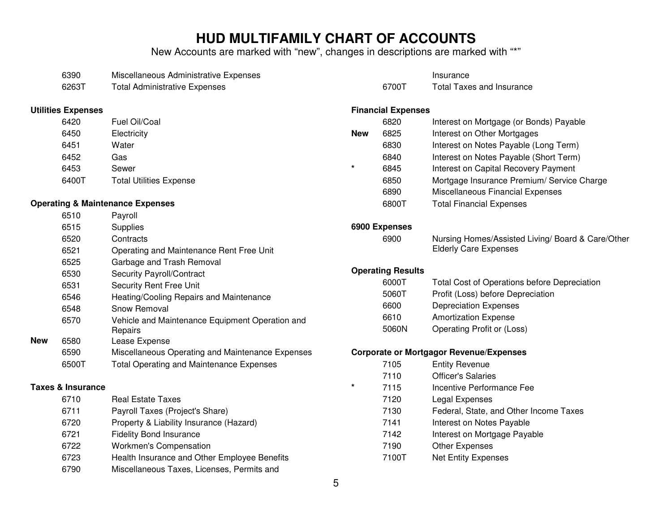New Accounts are marked with "new", changes in descriptions are marked with "\*"

|            | 6390                         | Miscellaneous Administrative Expenses            |            |                           | Insurance                                         |
|------------|------------------------------|--------------------------------------------------|------------|---------------------------|---------------------------------------------------|
|            | 6263T                        | <b>Total Administrative Expenses</b>             |            | 6700T                     | <b>Total Taxes and Insurance</b>                  |
|            | <b>Utilities Expenses</b>    |                                                  |            | <b>Financial Expenses</b> |                                                   |
|            | 6420                         | Fuel Oil/Coal                                    |            | 6820                      | Interest on Mortgage (or Bonds) Payable           |
|            | 6450                         | Electricity                                      | <b>New</b> | 6825                      | Interest on Other Mortgages                       |
|            | 6451                         | Water                                            |            | 6830                      | Interest on Notes Payable (Long Term)             |
|            | 6452                         | Gas                                              |            | 6840                      | Interest on Notes Payable (Short Term)            |
|            | 6453                         | Sewer                                            | $\star$    | 6845                      | Interest on Capital Recovery Payment              |
|            | 6400T                        | <b>Total Utilities Expense</b>                   |            | 6850                      | Mortgage Insurance Premium/ Service Charge        |
|            |                              |                                                  |            | 6890                      | Miscellaneous Financial Expenses                  |
|            |                              | <b>Operating &amp; Maintenance Expenses</b>      |            | 6800T                     | <b>Total Financial Expenses</b>                   |
|            | 6510                         | Payroll                                          |            |                           |                                                   |
|            | 6515                         | Supplies                                         |            | 6900 Expenses             |                                                   |
|            | 6520                         | Contracts                                        |            | 6900                      | Nursing Homes/Assisted Living/ Board & Care/Other |
|            | 6521                         | Operating and Maintenance Rent Free Unit         |            |                           | <b>Elderly Care Expenses</b>                      |
|            | 6525                         | Garbage and Trash Removal                        |            |                           |                                                   |
|            | 6530                         | Security Payroll/Contract                        |            | <b>Operating Results</b>  |                                                   |
|            | 6531                         | <b>Security Rent Free Unit</b>                   |            | 6000T                     | Total Cost of Operations before Depreciation      |
|            | 6546                         | Heating/Cooling Repairs and Maintenance          |            | 5060T                     | Profit (Loss) before Depreciation                 |
|            | 6548                         | Snow Removal                                     |            | 6600                      | <b>Depreciation Expenses</b>                      |
|            | 6570                         | Vehicle and Maintenance Equipment Operation and  |            | 6610                      | <b>Amortization Expense</b>                       |
|            |                              | Repairs                                          |            | 5060N                     | Operating Profit or (Loss)                        |
| <b>New</b> | 6580                         | Lease Expense                                    |            |                           |                                                   |
|            | 6590                         | Miscellaneous Operating and Maintenance Expenses |            |                           | <b>Corporate or Mortgagor Revenue/Expenses</b>    |
|            | 6500T                        | <b>Total Operating and Maintenance Expenses</b>  |            | 7105                      | <b>Entity Revenue</b>                             |
|            |                              |                                                  |            | 7110                      | <b>Officer's Salaries</b>                         |
|            | <b>Taxes &amp; Insurance</b> |                                                  | $\star$    | 7115                      | Incentive Performance Fee                         |
|            | 6710                         | <b>Real Estate Taxes</b>                         |            | 7120                      | Legal Expenses                                    |
|            | 6711                         | Payroll Taxes (Project's Share)                  |            | 7130                      | Federal, State, and Other Income Taxes            |
|            | 6720                         | Property & Liability Insurance (Hazard)          |            | 7141                      | Interest on Notes Payable                         |
|            | 6721                         | <b>Fidelity Bond Insurance</b>                   |            | 7142                      | Interest on Mortgage Payable                      |
|            | 6722                         | <b>Workmen's Compensation</b>                    |            | 7190                      | <b>Other Expenses</b>                             |
|            | 6723                         | Health Insurance and Other Employee Benefits     |            | 7100T                     | <b>Net Entity Expenses</b>                        |
|            | 6790                         | Miscellaneous Taxes, Licenses, Permits and       |            |                           |                                                   |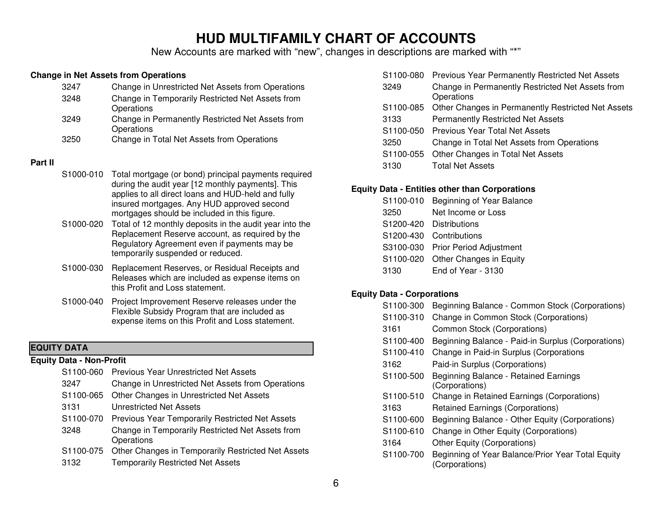New Accounts are marked with "new", changes in descriptions are marked with "\*"

#### **Change in Net Assets from Operations**

- 3247 Change in Unrestricted Net Assets from Operations 3248 Change in Temporarily Restricted Net Assets from
- **Operations** 3249 Change in Permanently Restricted Net Assets from **Operations**
- 3250 Change in Total Net Assets from Operations

### **Part II**

- S1000-010 Total mortgage (or bond) principal payments required during the audit year [12 monthly payments]. This applies to all direct loans and HUD-held and fully insured mortgages. Any HUD approved second mortgages should be included in this figure.
- S1000-020 Total of 12 monthly deposits in the audit year into the Replacement Reserve account, as required by the Regulatory Agreement even if payments may be temporarily suspended or reduced.
- S1000-030 Replacement Reserves, or Residual Receipts and Releases which are included as expense items on this Profit and Loss statement.
- S1000-040 Project Improvement Reserve releases under the Flexible Subsidy Program that are included as expense items on this Profit and Loss statement.

### **EQUITY DATA**

### **Equity Data - Non-Profit**

|      | S1100-060 Previous Year Unrestricted Net Assets              |
|------|--------------------------------------------------------------|
| 3247 | Change in Unrestricted Net Assets from Operations            |
|      | S1100-065 Other Changes in Unrestricted Net Assets           |
| 3131 | Unrestricted Net Assets                                      |
|      | S1100-070 Previous Year Temporarily Restricted Net Assets    |
| 3248 | Change in Temporarily Restricted Net Assets from             |
|      | Operations                                                   |
|      | S1100-075 Other Changes in Temporarily Restricted Net Assets |
| 3132 | <b>Temporarily Restricted Net Assets</b>                     |
|      |                                                              |

|  |  |  | S1100-080 Previous Year Permanently Restricted Net Assets |  |  |
|--|--|--|-----------------------------------------------------------|--|--|
|--|--|--|-----------------------------------------------------------|--|--|

- 3249 Change in Permanently Restricted Net Assets from **Operations**
- S1100-085 Other Changes in Permanently Restricted Net Assets
- 3133 Permanently Restricted Net Assets
- S1100-050 Previous Year Total Net Assets
- 3250 Change in Total Net Assets from Operations
- S1100-055 Other Changes in Total Net Assets
- 3130 Total Net Assets

### **Equity Data - Entities other than Corporations**

 S1100-010 Beginning of Year Balance 3250 Net Income or Loss S1200-420 Distributions S1200-430 Contributions S3100-030 Prior Period Adjustment S1100-020 Other Changes in Equity 3130 End of Year - 3130

### **Equity Data - Corporations**

| S <sub>1100</sub> -300 | Beginning Balance - Common Stock (Corporations)         |
|------------------------|---------------------------------------------------------|
| S1100-310              | Change in Common Stock (Corporations)                   |
| 3161                   | Common Stock (Corporations)                             |
| S1100-400              | Beginning Balance - Paid-in Surplus (Corporations)      |
| S <sub>1100</sub> -410 | Change in Paid-in Surplus (Corporations                 |
| 3162                   | Paid-in Surplus (Corporations)                          |
| S <sub>1100-500</sub>  | Beginning Balance - Retained Earnings<br>(Corporations) |
| S1100-510              | Change in Retained Earnings (Corporations)              |
| 3163                   | <b>Retained Earnings (Corporations)</b>                 |
| S <sub>1100-600</sub>  | Beginning Balance - Other Equity (Corporations)         |
| S1100-610              | Change in Other Equity (Corporations)                   |
| 3164                   | Other Equity (Corporations)                             |
| S <sub>1100</sub> -700 | Beginning of Year Balance/Prior Year Total Equity       |
|                        | (Corporations)                                          |
|                        |                                                         |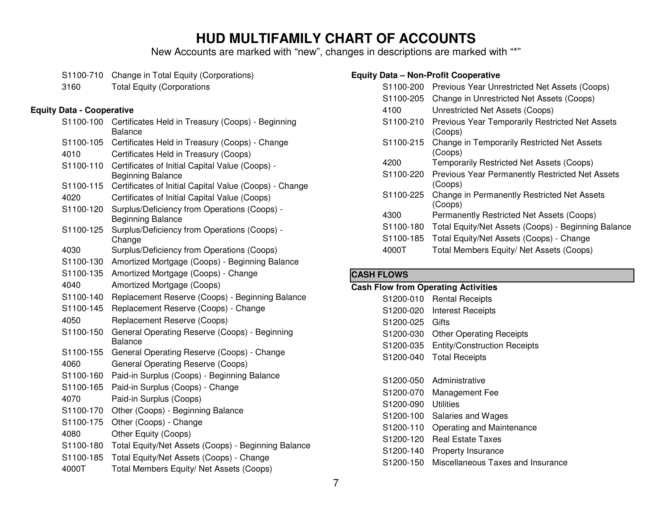New Accounts are marked with "new", changes in descriptions are marked with "\*"

### S1100-710 Change in Total Equity (Corporations)

3160 Total Equity (Corporations

#### **Equity Data - Cooperative**

| S1100-100 | Certificates Held in Treasury (Coops) - Beginning<br><b>Balance</b>         |
|-----------|-----------------------------------------------------------------------------|
| S1100-105 | Certificates Held in Treasury (Coops) - Change                              |
| 4010      | Certificates Held in Treasury (Coops)                                       |
| S1100-110 | Certificates of Initial Capital Value (Coops) -<br><b>Beginning Balance</b> |
| S1100-115 | Certificates of Initial Capital Value (Coops) - Change                      |
| 4020      | Certificates of Initial Capital Value (Coops)                               |
| S1100-120 | Surplus/Deficiency from Operations (Coops) -<br><b>Beginning Balance</b>    |
| S1100-125 | Surplus/Deficiency from Operations (Coops) -<br>Change                      |
| 4030      | Surplus/Deficiency from Operations (Coops)                                  |
| S1100-130 | Amortized Mortgage (Coops) - Beginning Balance                              |
| S1100-135 | Amortized Mortgage (Coops) - Change                                         |
| 4040      | Amortized Mortgage (Coops)                                                  |
| S1100-140 | Replacement Reserve (Coops) - Beginning Balance                             |
| S1100-145 | Replacement Reserve (Coops) - Change                                        |
| 4050      | Replacement Reserve (Coops)                                                 |
| S1100-150 | General Operating Reserve (Coops) - Beginning<br>Balance                    |
| S1100-155 | General Operating Reserve (Coops) - Change                                  |
| 4060      | <b>General Operating Reserve (Coops)</b>                                    |
| S1100-160 | Paid-in Surplus (Coops) - Beginning Balance                                 |
| S1100-165 | Paid-in Surplus (Coops) - Change                                            |
| 4070      | Paid-in Surplus (Coops)                                                     |
| S1100-170 | Other (Coops) - Beginning Balance                                           |
| S1100-175 | Other (Coops) - Change                                                      |
| 4080      | Other Equity (Coops)                                                        |
| S1100-180 | Total Equity/Net Assets (Coops) - Beginning Balance                         |
| S1100-185 | Total Equity/Net Assets (Coops) - Change                                    |
| 4000T     | Total Members Equity/ Net Assets (Coops)                                    |

### **Equity Data – Non-Profit Cooperative**

| S <sub>1100</sub> -200 | Previous Year Unrestricted Net Assets (Coops)                     |
|------------------------|-------------------------------------------------------------------|
| S <sub>1100</sub> -205 | Change in Unrestricted Net Assets (Coops)                         |
| 4100                   | Unrestricted Net Assets (Coops)                                   |
| S <sub>1100</sub> -210 | <b>Previous Year Temporarily Restricted Net Assets</b><br>(Coops) |
| S <sub>1100</sub> -215 | Change in Temporarily Restricted Net Assets<br>(Coops)            |
| 4200                   | Temporarily Restricted Net Assets (Coops)                         |
| S <sub>1100</sub> -220 | <b>Previous Year Permanently Restricted Net Assets</b><br>(Coops) |
| S <sub>1100</sub> -225 | Change in Permanently Restricted Net Assets<br>(Coops)            |
| 4300                   | Permanently Restricted Net Assets (Coops)                         |
| S <sub>1100</sub> -180 | Total Equity/Net Assets (Coops) - Beginning Balance               |
| S <sub>1100</sub> -185 | Total Equity/Net Assets (Coops) - Change                          |
| 4000T                  | Total Members Equity/ Net Assets (Coops)                          |
|                        |                                                                   |

### **CASH FLOWS**

#### **Cash Flow from Operating Activities**

| S1200-010              | <b>Rental Receipts</b>              |
|------------------------|-------------------------------------|
| S1200-020              | <b>Interest Receipts</b>            |
| S1200-025              | Gifts                               |
| S1200-030              | <b>Other Operating Receipts</b>     |
| S1200-035              | <b>Entity/Construction Receipts</b> |
| S1200-040              | <b>Total Receipts</b>               |
|                        |                                     |
| S1200-050              | Administrative                      |
| S1200-070              | Management Fee                      |
| S1200-090              | Utilities                           |
| S <sub>1200</sub> -100 | Salaries and Wages                  |
| S1200-110              | Operating and Maintenance           |
| S1200-120              | <b>Real Estate Taxes</b>            |
| S1200-140              | Property Insurance                  |
| S <sub>1200</sub> -150 | Miscellaneous Taxes and Insurance   |
|                        |                                     |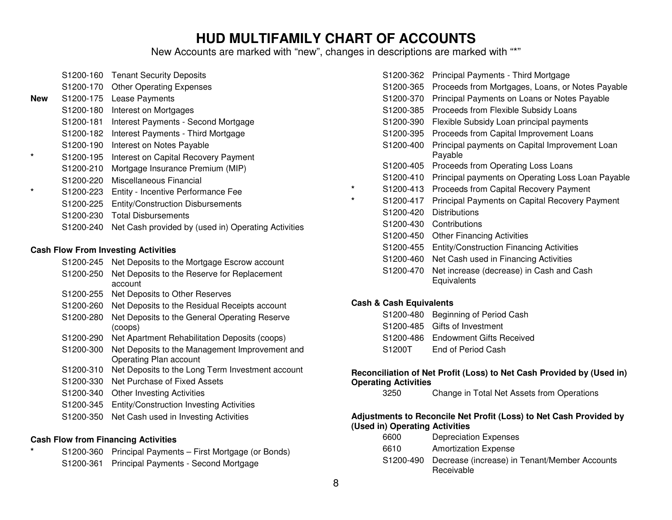New Accounts are marked with "new", changes in descriptions are marked with "\*"

- S1200-170 Other Operating Expenses
- **New** S1200-175 Lease Payments
	- S1200-180 Interest on Mortgages
	- S1200-181 Interest Payments Second Mortgage
	- S1200-182 Interest Payments Third Mortgage
	- S1200-190 Interest on Notes Payable
- **\*** S1200-195 Interest on Capital Recovery Payment
	- S1200-210 Mortgage Insurance Premium (MIP)
		- S1200-220 Miscellaneous Financial
- S1200-223 Entity Incentive Performance Fee
	- S1200-225 Entity/Construction Disbursements
	- S1200-230 Total Disbursements
	- S1200-240 Net Cash provided by (used in) Operating Activities

#### **Cash Flow From Investing Activities**

**\***

**\***

- S1200-245 Net Deposits to the Mortgage Escrow account
- S1200-250 Net Deposits to the Reserve for Replacement account
- S1200-255 Net Deposits to Other Reserves
- S1200-260 Net Deposits to the Residual Receipts account
- S1200-280 Net Deposits to the General Operating Reserve (coops)
- S1200-290 Net Apartment Rehabilitation Deposits (coops)
- S1200-300 Net Deposits to the Management Improvement and Operating Plan account
- S1200-310 Net Deposits to the Long Term Investment account
- S1200-330 Net Purchase of Fixed Assets
- S1200-340 Other Investing Activities
- S1200-345 Entity/Construction Investing Activities
- S1200-350 Net Cash used in Investing Activities

### **Cash Flow from Financing Activities**

 S1200-360 Principal Payments – First Mortgage (or Bonds) S1200-361 Principal Payments - Second Mortgage

|   | S <sub>1200</sub> -362 | Principal Payments - Third Mortgage                       |
|---|------------------------|-----------------------------------------------------------|
|   | S1200-365              | Proceeds from Mortgages, Loans, or Notes Payable          |
|   | S1200-370              | Principal Payments on Loans or Notes Payable              |
|   | S <sub>1200</sub> -385 | Proceeds from Flexible Subsidy Loans                      |
|   | S <sub>1200</sub> -390 | Flexible Subsidy Loan principal payments                  |
|   | S1200-395              | Proceeds from Capital Improvement Loans                   |
|   | S1200-400              | Principal payments on Capital Improvement Loan<br>Payable |
|   | S <sub>1200</sub> -405 | Proceeds from Operating Loss Loans                        |
|   | S1200-410              | Principal payments on Operating Loss Loan Payable         |
| * | S1200-413              | Proceeds from Capital Recovery Payment                    |
| * | S1200-417              | Principal Payments on Capital Recovery Payment            |
|   | S <sub>1200</sub> -420 | <b>Distributions</b>                                      |
|   | S <sub>1200</sub> -430 | Contributions                                             |
|   | S1200-450              | <b>Other Financing Activities</b>                         |
|   | S <sub>1200</sub> -455 | <b>Entity/Construction Financing Activities</b>           |
|   | S <sub>1200</sub> -460 | Net Cash used in Financing Activities                     |

 S1200-470 Net increase (decrease) in Cash and Cash **Equivalents** 

### **Cash & Cash Equivalents**

- S1200-480 Beginning of Period Cash S1200-485 Gifts of Investment
- S1200-486 Endowment Gifts Received
- S1200T End of Period Cash

#### **Reconciliation of Net Profit (Loss) to Net Cash Provided by (Used in) Operating Activities**

3250 Change in Total Net Assets from Operations

#### **Adjustments to Reconcile Net Profit (Loss) to Net Cash Provided by (Used in) Operating Activities**

| 6600      | Depreciation Expenses                                       |
|-----------|-------------------------------------------------------------|
| 6610      | <b>Amortization Expense</b>                                 |
| S1200-490 | Decrease (increase) in Tenant/Member Accounts<br>Receivable |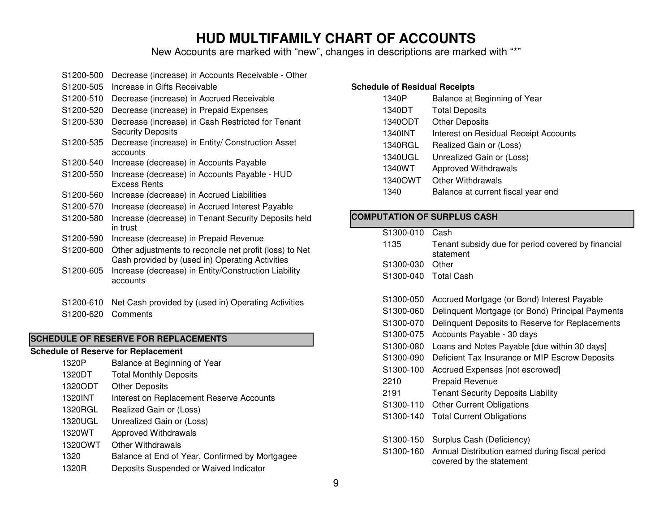New Accounts are marked with "new", changes in descriptions are marked with "\*"

- S1200-500 Decrease (increase) in Accounts Receivable Other
- S1200-505 Increase in Gifts Receivable
- S1200-510 Decrease (increase) in Accrued Receivable
- S1200-520 Decrease (increase) in Prepaid Expenses
- S1200-530 Decrease (increase) in Cash Restricted for Tenant Security Deposits
- S1200-535 Decrease (increase) in Entity/ Construction Asset accounts
- S1200-540 Increase (decrease) in Accounts Payable
- S1200-550 Increase (decrease) in Accounts Payable HUD Excess Rents
- S1200-560 Increase (decrease) in Accrued Liabilities
- S1200-570 Increase (decrease) in Accrued Interest Payable
- S1200-580 Increase (decrease) in Tenant Security Deposits held in trust
- S1200-590 Increase (decrease) in Prepaid Revenue
- S1200-600 Other adjustments to reconcile net profit (loss) to Net Cash provided by (used in) Operating Activities
- S1200-605 Increase (decrease) in Entity/Construction Liability accounts
- S1200-610 Net Cash provided by (used in) Operating Activities S1200-620 Comments

### **SCHEDULE OF RESERVE FOR REPLACEMENTS**

**Schedule of Reserve for Replacement**

| 1320P   | Balance at Beginning of Year                   |
|---------|------------------------------------------------|
| 1320DT  | <b>Total Monthly Deposits</b>                  |
| 1320ODT | <b>Other Deposits</b>                          |
| 1320INT | Interest on Replacement Reserve Accounts       |
| 1320RGL | Realized Gain or (Loss)                        |
| 1320UGL | Unrealized Gain or (Loss)                      |
| 1320WT  | Approved Withdrawals                           |
| 1320OWT | Other Withdrawals                              |
| 1320    | Balance at End of Year, Confirmed by Mortgagee |
| 1320R   | Deposits Suspended or Waived Indicator         |

#### **Schedule of Residual Receipts**

| 1340P   | Balance at Beginning of Year          |
|---------|---------------------------------------|
| 1340DT  | <b>Total Deposits</b>                 |
| 1340ODT | <b>Other Deposits</b>                 |
| 1340INT | Interest on Residual Receipt Accounts |
| 1340RGL | Realized Gain or (Loss)               |
| 1340UGL | Unrealized Gain or (Loss)             |
| 1340WT  | Approved Withdrawals                  |
| 1340OWT | Other Withdrawals                     |
| 1340    | Balance at current fiscal year end    |
|         |                                       |

#### **COMPUTATION OF SURPLUS CASH**

| S1300-010              | Cash                                                                        |
|------------------------|-----------------------------------------------------------------------------|
| 1135                   | Tenant subsidy due for period covered by financial<br>statement             |
| S <sub>1300</sub> -030 | Other                                                                       |
| S1300-040              | <b>Total Cash</b>                                                           |
|                        |                                                                             |
| S <sub>1300</sub> -050 | Accrued Mortgage (or Bond) Interest Payable                                 |
| S1300-060              | Delinquent Mortgage (or Bond) Principal Payments                            |
| S <sub>1300</sub> -070 | Delinguent Deposits to Reserve for Replacements                             |
| S1300-075              | Accounts Payable - 30 days                                                  |
| S1300-080              | Loans and Notes Payable [due within 30 days]                                |
| S1300-090              | Deficient Tax Insurance or MIP Escrow Deposits                              |
| S1300-100              | Accrued Expenses [not escrowed]                                             |
| 2210                   | <b>Prepaid Revenue</b>                                                      |
| 2191                   | <b>Tenant Security Deposits Liability</b>                                   |
| S <sub>1300</sub> -110 | <b>Other Current Obligations</b>                                            |
| S1300-140              | <b>Total Current Obligations</b>                                            |
|                        |                                                                             |
| S <sub>1300</sub> -150 | Surplus Cash (Deficiency)                                                   |
| S <sub>1300</sub> -160 | Annual Distribution earned during fiscal period<br>covered by the statement |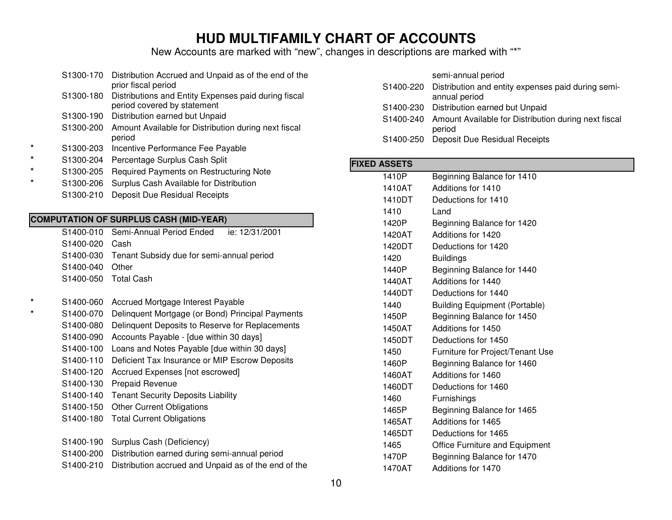New Accounts are marked with "new", changes in descriptions are marked with "\*"

| S1300-170 Distribution Accrued and Unpaid as of the end of the |
|----------------------------------------------------------------|
| prior fiscal period                                            |
| R1300-180 Dietributions and Entity Expanses paid during fiscal |

- S1300-180 Distributions and Entity Expenses paid during fiscal period covered by statement
- S1300-190 Distribution earned but Unpaid
- S1300-200 Amount Available for Distribution during next fiscal period
- S1300-203 Incentive Performance Fee Payable **\***
- **\***S1300-204 Percentage Surplus Cash Split

**\***

**\***

- **\*** S1300-205 Required Payments on Restructuring Note
	- S1300-206 Surplus Cash Available for Distribution
		- S1300-210 Deposit Due Residual Receipts

### **COMPUTATION OF SURPLUS CASH (MID-YEAR)**

|                      | S1400-010 Semi-Annual Period Ended ie: 12/31/2001   |  |
|----------------------|-----------------------------------------------------|--|
| S1400-020 Cash       |                                                     |  |
|                      | S1400-030 Tenant Subsidy due for semi-annual period |  |
| S1400-040 Other      |                                                     |  |
| S1400-050 Total Cash |                                                     |  |

- **\*** S1400-060 Accrued Mortgage Interest Payable
	- S1400-070 Delinquent Mortgage (or Bond) Principal Payments
		- S1400-080 Delinquent Deposits to Reserve for Replacements
		- S1400-090 Accounts Payable [due within 30 days]
		- S1400-100 Loans and Notes Payable [due within 30 days]
		- S1400-110 Deficient Tax Insurance or MIP Escrow Deposits
		- S1400-120 Accrued Expenses [not escrowed]
		- S1400-130 Prepaid Revenue
		- S1400-140 Tenant Security Deposits Liability
		- S1400-150 Other Current Obligations
		- S1400-180 Total Current Obligations
		- S1400-190 Surplus Cash (Deficiency)
		- S1400-200 Distribution earned during semi-annual period
		- S1400-210 Distribution accrued and Unpaid as of the end of the

#### semi-annual period

- S1400-220 Distribution and entity expenses paid during semiannual period
- S1400-230 Distribution earned but Unpaid
- S1400-240 Amount Available for Distribution during next fiscal period
- S1400-250 Deposit Due Residual Receipts

### **FIXED ASSETS**

| 1410P  | Beginning Balance for 1410            |
|--------|---------------------------------------|
| 1410AT | Additions for 1410                    |
| 1410DT | Deductions for 1410                   |
| 1410   | Land                                  |
| 1420P  | Beginning Balance for 1420            |
| 1420AT | Additions for 1420                    |
| 1420DT | Deductions for 1420                   |
| 1420   | <b>Buildings</b>                      |
| 1440P  | Beginning Balance for 1440            |
| 1440AT | Additions for 1440                    |
| 1440DT | Deductions for 1440                   |
| 1440   | <b>Building Equipment (Portable)</b>  |
| 1450P  | Beginning Balance for 1450            |
| 1450AT | Additions for 1450                    |
| 1450DT | Deductions for 1450                   |
| 1450   | Furniture for Project/Tenant Use      |
| 1460P  | Beginning Balance for 1460            |
| 1460AT | Additions for 1460                    |
| 1460DT | Deductions for 1460                   |
| 1460   | Furnishings                           |
| 1465P  | Beginning Balance for 1465            |
| 1465AT | Additions for 1465                    |
| 1465DT | Deductions for 1465                   |
| 1465   | <b>Office Furniture and Equipment</b> |
| 1470P  | Beginning Balance for 1470            |
| 1470AT | Additions for 1470                    |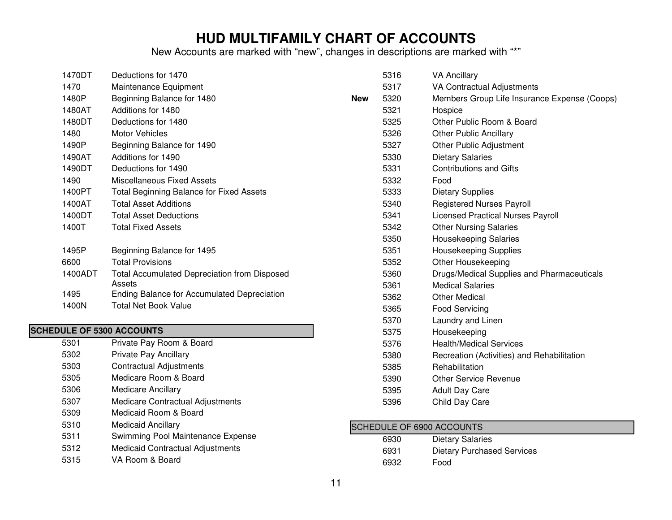New Accounts are marked with "new", changes in descriptions are marked with "\*"

| 1470DT  | Deductions for 1470                                 |            | 5316 | <b>VA Ancillary</b>                          |
|---------|-----------------------------------------------------|------------|------|----------------------------------------------|
| 1470    | Maintenance Equipment                               |            | 5317 | VA Contractual Adjustments                   |
| 1480P   | Beginning Balance for 1480                          | <b>New</b> | 5320 | Members Group Life Insurance Expense (Coops) |
| 1480AT  | Additions for 1480                                  |            | 5321 | Hospice                                      |
| 1480DT  | Deductions for 1480                                 |            | 5325 | Other Public Room & Board                    |
| 1480    | <b>Motor Vehicles</b>                               |            | 5326 | <b>Other Public Ancillary</b>                |
| 1490P   | Beginning Balance for 1490                          |            | 5327 | Other Public Adjustment                      |
| 1490AT  | Additions for 1490                                  |            | 5330 | <b>Dietary Salaries</b>                      |
| 1490DT  | Deductions for 1490                                 |            | 5331 | <b>Contributions and Gifts</b>               |
| 1490    | Miscellaneous Fixed Assets                          |            | 5332 | Food                                         |
| 1400PT  | <b>Total Beginning Balance for Fixed Assets</b>     |            | 5333 | <b>Dietary Supplies</b>                      |
| 1400AT  | <b>Total Asset Additions</b>                        |            | 5340 | <b>Registered Nurses Payroll</b>             |
| 1400DT  | <b>Total Asset Deductions</b>                       |            | 5341 | <b>Licensed Practical Nurses Payroll</b>     |
| 1400T   | <b>Total Fixed Assets</b>                           |            | 5342 | <b>Other Nursing Salaries</b>                |
|         |                                                     |            | 5350 | <b>Housekeeping Salaries</b>                 |
| 1495P   | Beginning Balance for 1495                          |            | 5351 | <b>Housekeeping Supplies</b>                 |
| 6600    | <b>Total Provisions</b>                             |            | 5352 | Other Housekeeping                           |
| 1400ADT | <b>Total Accumulated Depreciation from Disposed</b> |            | 5360 | Drugs/Medical Supplies and Pharmaceuticals   |
|         | Assets                                              |            | 5361 | <b>Medical Salaries</b>                      |
| 1495    | Ending Balance for Accumulated Depreciation         |            | 5362 | <b>Other Medical</b>                         |
| 1400N   | <b>Total Net Book Value</b>                         |            | 5365 | <b>Food Servicing</b>                        |
|         |                                                     |            | 5370 | Laundry and Linen                            |
|         | <b>OULE OF 5300 ACCOUNTS</b>                        |            | 5375 | Housekeeping                                 |

### **SCHED**  5301 Private Pay Room & Board 5302 Private Pay Ancillary 5303 Contractual Adjustments 5305 Medicare Room & Board 5306 Medicare Ancillary 5307 Medicare Contractual Adjustments 5309 Medicaid Room & Board 5310 Medicaid Ancillary 5311 Swimming Pool Maintenance Expense

- 5312 Medicaid Contractual Adjustments
- 5315 VA Room & Board

### SCHEDULE OF 6900 ACCOUNTS

| 6930 | <b>Dietary Salaries</b>           |
|------|-----------------------------------|
| 6931 | <b>Dietary Purchased Services</b> |
| 6932 | Food                              |

5376 Health/Medical Services

5390 Other Service Revenue

5385 Rehabilitation

5395 Adult Day Care 5396 Child Day Care

5380 Recreation (Activities) and Rehabilitation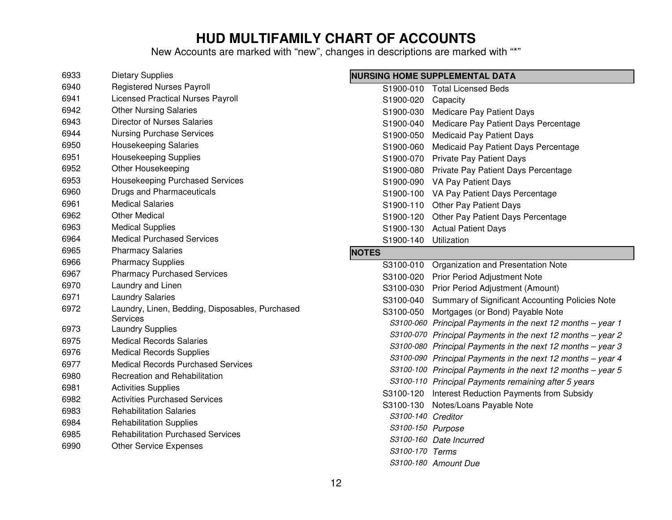New Accounts are marked with "new", changes in descriptions are marked with "\*"

| 6933         | <b>Dietary Supplies</b>                                                      | <b>NURSING HOME SUPPLEMENTAL DATA</b>                       |
|--------------|------------------------------------------------------------------------------|-------------------------------------------------------------|
| 6940         | <b>Registered Nurses Payroll</b>                                             | S1900-010 Total Licensed Beds                               |
| 6941         | <b>Licensed Practical Nurses Payroll</b>                                     | S1900-020 Capacity                                          |
| 6942         | <b>Other Nursing Salaries</b>                                                | S1900-030 Medicare Pay Patient Days                         |
| 6943         | <b>Director of Nurses Salaries</b>                                           | S1900-040 Medicare Pay Patient Days Percentage              |
| 6944         | <b>Nursing Purchase Services</b>                                             | S1900-050 Medicaid Pay Patient Days                         |
| 6950         | Housekeeping Salaries                                                        | S1900-060 Medicaid Pay Patient Days Percentage              |
| 6951         | <b>Housekeeping Supplies</b>                                                 | S1900-070 Private Pay Patient Days                          |
| 6952         | Other Housekeeping                                                           | S1900-080 Private Pay Patient Days Percentage               |
| 6953         | Housekeeping Purchased Services                                              | S1900-090 VA Pay Patient Days                               |
| 6960         | <b>Drugs and Pharmaceuticals</b>                                             | S1900-100 VA Pay Patient Days Percentage                    |
| 6961         | <b>Medical Salaries</b>                                                      | S1900-110 Other Pay Patient Days                            |
| 6962         | <b>Other Medical</b>                                                         | S1900-120 Other Pay Patient Days Percentage                 |
| 6963         | <b>Medical Supplies</b>                                                      | S1900-130 Actual Patient Days                               |
| 6964         | <b>Medical Purchased Services</b>                                            | S1900-140 Utilization                                       |
| 6965         | <b>Pharmacy Salaries</b>                                                     | <b>NOTES</b>                                                |
| 6966         | <b>Pharmacy Supplies</b>                                                     | S3100-010 Organization and Presentation Note                |
| 6967         | <b>Pharmacy Purchased Services</b>                                           | S3100-020 Prior Period Adjustment Note                      |
| 6970         | Laundry and Linen                                                            | S3100-030 Prior Period Adjustment (Amount)                  |
| 6971         | <b>Laundry Salaries</b>                                                      | S3100-040 Summary of Significant Accounting Policies Note   |
| 6972         | Laundry, Linen, Bedding, Disposables, Purchased                              | S3100-050 Mortgages (or Bond) Payable Note                  |
|              | <b>Services</b>                                                              | S3100-060 Principal Payments in the next 12 months - year 1 |
| 6973<br>6975 | <b>Laundry Supplies</b><br><b>Medical Records Salaries</b>                   | S3100-070 Principal Payments in the next 12 months - year 2 |
| 6976         |                                                                              | S3100-080 Principal Payments in the next 12 months - year 3 |
| 6977         | <b>Medical Records Supplies</b><br><b>Medical Records Purchased Services</b> | S3100-090 Principal Payments in the next 12 months - year 4 |
| 6980         | Recreation and Rehabilitation                                                | S3100-100 Principal Payments in the next 12 months - year 5 |
|              |                                                                              | S3100-110 Principal Payments remaining after 5 years        |
| 6981<br>6982 | <b>Activities Supplies</b><br><b>Activities Purchased Services</b>           | S3100-120 Interest Reduction Payments from Subsidy          |
| 6983         | <b>Rehabilitation Salaries</b>                                               | S3100-130 Notes/Loans Payable Note                          |
|              |                                                                              | S3100-140 Creditor                                          |
| 6984         | <b>Rehabilitation Supplies</b><br><b>Rehabilitation Purchased Services</b>   | S3100-150 Purpose                                           |
| 6985         |                                                                              | S3100-160 Date Incurred                                     |
| 6990         | <b>Other Service Expenses</b>                                                | S3100-170 Terms                                             |
|              |                                                                              | S3100-180 Amount Due                                        |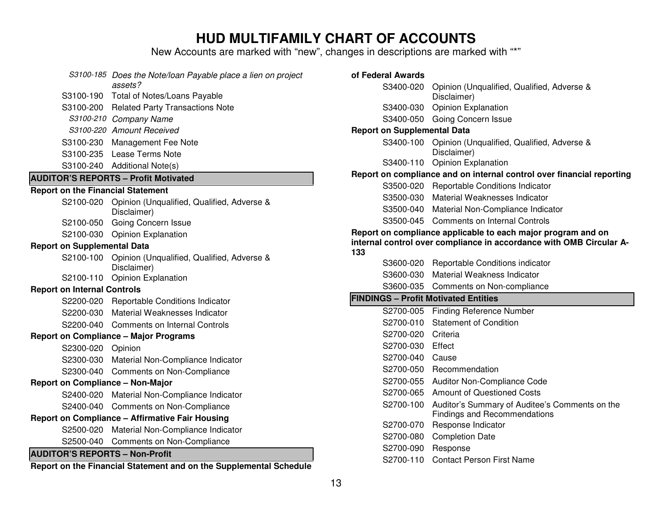New Accounts are marked with "new", changes in descriptions are marked with "\*"

|                                          | S3100-185 Does the Note/loan Payable place a lien on project<br>assets? |
|------------------------------------------|-------------------------------------------------------------------------|
|                                          | S3100-190 Total of Notes/Loans Payable                                  |
|                                          | S3100-200 Related Party Transactions Note                               |
|                                          | S3100-210 Company Name                                                  |
|                                          | S3100-220 Amount Received                                               |
|                                          | S3100-230 Management Fee Note                                           |
|                                          | S3100-235 Lease Terms Note                                              |
|                                          | S3100-240 Additional Note(s)                                            |
|                                          | <b>AUDITOR'S REPORTS - Profit Motivated</b>                             |
| <b>Report on the Financial Statement</b> |                                                                         |
| S2100-020                                | Opinion (Unqualified, Qualified, Adverse &<br>Disclaimer)               |
| S2100-050                                | Going Concern Issue                                                     |
|                                          | S2100-030 Opinion Explanation                                           |
| <b>Report on Supplemental Data</b>       |                                                                         |
| S2100-100                                | Opinion (Unqualified, Qualified, Adverse &<br>Disclaimer)               |
| S2100-110                                | <b>Opinion Explanation</b>                                              |
| <b>Report on Internal Controls</b>       |                                                                         |
|                                          | S2200-020 Reportable Conditions Indicator                               |
|                                          | S2200-030 Material Weaknesses Indicator                                 |
| S2200-040                                | <b>Comments on Internal Controls</b>                                    |
|                                          | <b>Report on Compliance - Major Programs</b>                            |
| S2300-020                                | Opinion                                                                 |
| S2300-030                                | Material Non-Compliance Indicator                                       |
| S2300-040                                | <b>Comments on Non-Compliance</b>                                       |
| <b>Report on Compliance - Non-Major</b>  |                                                                         |
| S2400-020                                | Material Non-Compliance Indicator                                       |
| S2400-040                                | Comments on Non-Compliance                                              |
|                                          | Report on Compliance - Affirmative Fair Housing                         |
|                                          | S2500-020 Material Non-Compliance Indicator                             |
|                                          | S2500-040 Comments on Non-Compliance                                    |
| <b>AUDITOR'S REPORTS - Non-Profit</b>    |                                                                         |

**Report on the Financial Statement and on the Supplemental Schedule** 

### **of Federal Awards**

| S3400-020                                   | Opinion (Unqualified, Qualified, Adverse &<br>Disclaimer)                             |
|---------------------------------------------|---------------------------------------------------------------------------------------|
| S3400-030                                   | <b>Opinion Explanation</b>                                                            |
| S3400-050                                   | Going Concern Issue                                                                   |
| <b>Report on Supplemental Data</b>          |                                                                                       |
| S3400-100                                   | Opinion (Unqualified, Qualified, Adverse &<br>Disclaimer)                             |
| S3400-110                                   | <b>Opinion Explanation</b>                                                            |
|                                             | Report on compliance and on internal control over financial reporting                 |
| S3500-020                                   | <b>Reportable Conditions Indicator</b>                                                |
| S3500-030                                   | Material Weaknesses Indicator                                                         |
| S3500-040                                   | Material Non-Compliance Indicator                                                     |
| S3500-045                                   | <b>Comments on Internal Controls</b>                                                  |
|                                             | Report on compliance applicable to each major program and on                          |
| 133                                         | internal control over compliance in accordance with OMB Circular A-                   |
| S3600-020                                   | Reportable Conditions indicator                                                       |
| S3600-030                                   | Material Weakness Indicator                                                           |
| S3600-035                                   | Comments on Non-compliance                                                            |
| <b>FINDINGS - Profit Motivated Entities</b> |                                                                                       |
| S2700-005                                   | <b>Finding Reference Number</b>                                                       |
| S2700-010                                   | <b>Statement of Condition</b>                                                         |
| S2700-020                                   | Criteria                                                                              |
| S2700-030                                   | Effect                                                                                |
| S2700-040                                   | Cause                                                                                 |
| S2700-050                                   | Recommendation                                                                        |
| S2700-055                                   | <b>Auditor Non-Compliance Code</b>                                                    |
| S2700-065                                   | <b>Amount of Questioned Costs</b>                                                     |
| S2700-100                                   | Auditor's Summary of Auditee's Comments on the<br><b>Findings and Recommendations</b> |
| S2700-070                                   | Response Indicator                                                                    |
| S2700-080                                   | <b>Completion Date</b>                                                                |
| S2700-090                                   |                                                                                       |
|                                             | Response                                                                              |